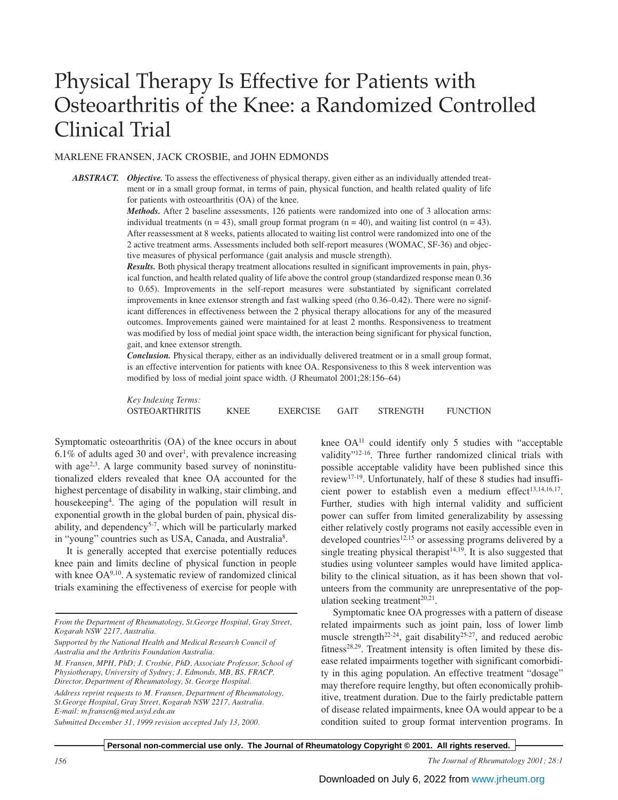# Physical Therapy Is Effective for Patients with Osteoarthritis of the Knee: a Randomized Controlled Clinical Trial

## MARLENE FRANSEN, JACK CROSBIE, and JOHN EDMONDS

*ABSTRACT. Objective.* To assess the effectiveness of physical therapy, given either as an individually attended treatment or in a small group format, in terms of pain, physical function, and health related quality of life for patients with osteoarthritis (OA) of the knee.

> *Methods.* After 2 baseline assessments, 126 patients were randomized into one of 3 allocation arms: individual treatments  $(n = 43)$ , small group format program  $(n = 40)$ , and waiting list control  $(n = 43)$ . After reassessment at 8 weeks, patients allocated to waiting list control were randomized into one of the 2 active treatment arms. Assessments included both self-report measures (WOMAC, SF-36) and objective measures of physical performance (gait analysis and muscle strength).

> *Results.* Both physical therapy treatment allocations resulted in significant improvements in pain, physical function, and health related quality of life above the control group (standardized response mean 0.36 to 0.65). Improvements in the self-report measures were substantiated by significant correlated improvements in knee extensor strength and fast walking speed (rho 0.36–0.42). There were no significant differences in effectiveness between the 2 physical therapy allocations for any of the measured outcomes. Improvements gained were maintained for at least 2 months. Responsiveness to treatment was modified by loss of medial joint space width, the interaction being significant for physical function, gait, and knee extensor strength.

> *Conclusion.* Physical therapy, either as an individually delivered treatment or in a small group format, is an effective intervention for patients with knee OA. Responsiveness to this 8 week intervention was modified by loss of medial joint space width. (J Rheumatol 2001;28:156–64)

| Key Indexing Terms:   |             |                 |             |                 |                 |
|-----------------------|-------------|-----------------|-------------|-----------------|-----------------|
| <b>OSTEOARTHRITIS</b> | <b>KNEE</b> | <b>EXERCISE</b> | <b>GAIT</b> | <b>STRENGTH</b> | <b>FUNCTION</b> |

Symptomatic osteoarthritis (OA) of the knee occurs in about  $6.1\%$  of adults aged 30 and over<sup>1</sup>, with prevalence increasing with age<sup>2,3</sup>. A large community based survey of noninstitutionalized elders revealed that knee OA accounted for the highest percentage of disability in walking, stair climbing, and housekeeping4 . The aging of the population will result in exponential growth in the global burden of pain, physical disability, and dependency<sup>5-7</sup>, which will be particularly marked in "young" countries such as USA, Canada, and Australia<sup>8</sup>.

It is generally accepted that exercise potentially reduces knee pain and limits decline of physical function in people with knee OA9,10. A systematic review of randomized clinical trials examining the effectiveness of exercise for people with

*M. Fransen, MPH, PhD; J. Crosbie, PhD, Associate Professor, School of Physiotherapy, University of Sydney; J. Edmonds, MB, BS, FRACP, Director, Department of Rheumatology, St. George Hospital.*

knee  $OA<sup>11</sup>$  could identify only 5 studies with "acceptable validity"12-16. Three further randomized clinical trials with possible acceptable validity have been published since this review17-19. Unfortunately, half of these 8 studies had insufficient power to establish even a medium effect<sup>13,14,16,17</sup>. Further, studies with high internal validity and sufficient power can suffer from limited generalizability by assessing either relatively costly programs not easily accessible even in developed countries<sup>12,15</sup> or assessing programs delivered by a single treating physical therapist<sup>14,19</sup>. It is also suggested that studies using volunteer samples would have limited applicability to the clinical situation, as it has been shown that volunteers from the community are unrepresentative of the population seeking treatment $20,21$ .

Symptomatic knee OA progresses with a pattern of disease related impairments such as joint pain, loss of lower limb muscle strength<sup>22-24</sup>, gait disability<sup>25-27</sup>, and reduced aerobic fitness<sup>28,29</sup>. Treatment intensity is often limited by these disease related impairments together with significant comorbidity in this aging population. An effective treatment "dosage" may therefore require lengthy, but often economically prohibitive, treatment duration. Due to the fairly predictable pattern of disease related impairments, knee OA would appear to be a condition suited to group format intervention programs. In

*From the Department of Rheumatology, St.George Hospital, Gray Street, Kogarah NSW 2217, Australia.*

*Supported by the National Health and Medical Research Council of Australia and the Arthritis Foundation Australia.*

*Address reprint requests to M. Fransen, Department of Rheumatology, St.George Hospital, Gray Street, Kogarah NSW 2217, Australia. E-mail: m.fransen@med.usyd.edu.au*

*Submitted December 31, 1999 revision accepted July 13, 2000.*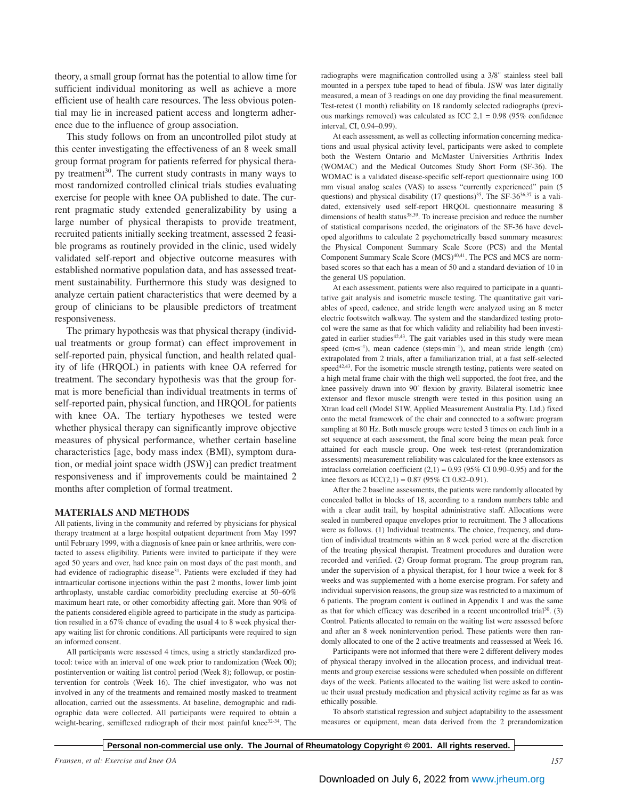theory, a small group format has the potential to allow time for sufficient individual monitoring as well as achieve a more efficient use of health care resources. The less obvious potential may lie in increased patient access and longterm adherence due to the influence of group association.

This study follows on from an uncontrolled pilot study at this center investigating the effectiveness of an 8 week small group format program for patients referred for physical therapy treatment<sup>30</sup>. The current study contrasts in many ways to most randomized controlled clinical trials studies evaluating exercise for people with knee OA published to date. The current pragmatic study extended generalizability by using a large number of physical therapists to provide treatment, recruited patients initially seeking treatment, assessed 2 feasible programs as routinely provided in the clinic, used widely validated self-report and objective outcome measures with established normative population data, and has assessed treatment sustainability. Furthermore this study was designed to analyze certain patient characteristics that were deemed by a group of clinicians to be plausible predictors of treatment responsiveness.

The primary hypothesis was that physical therapy (individual treatments or group format) can effect improvement in self-reported pain, physical function, and health related quality of life (HRQOL) in patients with knee OA referred for treatment. The secondary hypothesis was that the group format is more beneficial than individual treatments in terms of self-reported pain, physical function, and HRQOL for patients with knee OA. The tertiary hypotheses we tested were whether physical therapy can significantly improve objective measures of physical performance, whether certain baseline characteristics [age, body mass index (BMI), symptom duration, or medial joint space width (JSW)] can predict treatment responsiveness and if improvements could be maintained 2 months after completion of formal treatment.

#### **MATERIALS AND METHODS**

All patients, living in the community and referred by physicians for physical therapy treatment at a large hospital outpatient department from May 1997 until February 1999, with a diagnosis of knee pain or knee arthritis, were contacted to assess eligibility. Patients were invited to participate if they were aged 50 years and over, had knee pain on most days of the past month, and had evidence of radiographic disease<sup>31</sup>. Patients were excluded if they had intraarticular cortisone injections within the past 2 months, lower limb joint arthroplasty, unstable cardiac comorbidity precluding exercise at 50–60% maximum heart rate, or other comorbidity affecting gait. More than 90% of the patients considered eligible agreed to participate in the study as participation resulted in a 67% chance of evading the usual 4 to 8 week physical therapy waiting list for chronic conditions. All participants were required to sign an informed consent.

All participants were assessed 4 times, using a strictly standardized protocol: twice with an interval of one week prior to randomization (Week 00); postintervention or waiting list control period (Week 8); followup, or postintervention for controls (Week 16). The chief investigator, who was not involved in any of the treatments and remained mostly masked to treatment allocation, carried out the assessments. At baseline, demographic and radiographic data were collected. All participants were required to obtain a weight-bearing, semiflexed radiograph of their most painful knee<sup>32-34</sup>. The

radiographs were magnification controlled using a 3/8" stainless steel ball mounted in a perspex tube taped to head of fibula. JSW was later digitally measured, a mean of 3 readings on one day providing the final measurement. Test-retest (1 month) reliability on 18 randomly selected radiographs (previous markings removed) was calculated as ICC 2,1 = 0.98 (95% confidence interval, CI, 0.94–0.99).

At each assessment, as well as collecting information concerning medications and usual physical activity level, participants were asked to complete both the Western Ontario and McMaster Universities Arthritis Index (WOMAC) and the Medical Outcomes Study Short Form (SF-36). The WOMAC is a validated disease-specific self-report questionnaire using 100 mm visual analog scales (VAS) to assess "currently experienced" pain (5 questions) and physical disability (17 questions)<sup>35</sup>. The SF-36<sup>36,37</sup> is a validated, extensively used self-report HRQOL questionnaire measuring 8 dimensions of health status<sup>38,39</sup>. To increase precision and reduce the number of statistical comparisons needed, the originators of the SF-36 have developed algorithms to calculate 2 psychometrically based summary measures: the Physical Component Summary Scale Score (PCS) and the Mental Component Summary Scale Score (MCS)<sup>40,41</sup>. The PCS and MCS are normbased scores so that each has a mean of 50 and a standard deviation of 10 in the general US population.

At each assessment, patients were also required to participate in a quantitative gait analysis and isometric muscle testing. The quantitative gait variables of speed, cadence, and stride length were analyzed using an 8 meter electric footswitch walkway. The system and the standardized testing protocol were the same as that for which validity and reliability had been investigated in earlier studies<sup>42,43</sup>. The gait variables used in this study were mean speed ( $\text{cm} \cdot \text{s}^{-1}$ ), mean cadence (steps-min<sup>-1</sup>), and mean stride length (cm) extrapolated from 2 trials, after a familiarization trial, at a fast self-selected  $speed^{42,43}$ . For the isometric muscle strength testing, patients were seated on a high metal frame chair with the thigh well supported, the foot free, and the knee passively drawn into 90˚ flexion by gravity. Bilateral isometric knee extensor and flexor muscle strength were tested in this position using an Xtran load cell (Model S1W, Applied Measurement Australia Pty. Ltd.) fixed onto the metal framework of the chair and connected to a software program sampling at 80 Hz. Both muscle groups were tested 3 times on each limb in a set sequence at each assessment, the final score being the mean peak force attained for each muscle group. One week test-retest (prerandomization assessments) measurement reliability was calculated for the knee extensors as intraclass correlation coefficient  $(2,1) = 0.93$  (95% CI 0.90–0.95) and for the knee flexors as  $ICC(2,1) = 0.87 (95\% CI 0.82-0.91)$ .

After the 2 baseline assessments, the patients were randomly allocated by concealed ballot in blocks of 18, according to a random numbers table and with a clear audit trail, by hospital administrative staff. Allocations were sealed in numbered opaque envelopes prior to recruitment. The 3 allocations were as follows. (1) Individual treatments. The choice, frequency, and duration of individual treatments within an 8 week period were at the discretion of the treating physical therapist. Treatment procedures and duration were recorded and verified. (2) Group format program. The group program ran, under the supervision of a physical therapist, for 1 hour twice a week for 8 weeks and was supplemented with a home exercise program. For safety and individual supervision reasons, the group size was restricted to a maximum of 6 patients. The program content is outlined in Appendix 1 and was the same as that for which efficacy was described in a recent uncontrolled trial $30$ . (3) Control. Patients allocated to remain on the waiting list were assessed before and after an 8 week nonintervention period. These patients were then randomly allocated to one of the 2 active treatments and reassessed at Week 16.

Participants were not informed that there were 2 different delivery modes of physical therapy involved in the allocation process, and individual treatments and group exercise sessions were scheduled when possible on different days of the week. Patients allocated to the waiting list were asked to continue their usual prestudy medication and physical activity regime as far as was ethically possible.

To absorb statistical regression and subject adaptability to the assessment measures or equipment, mean data derived from the 2 prerandomization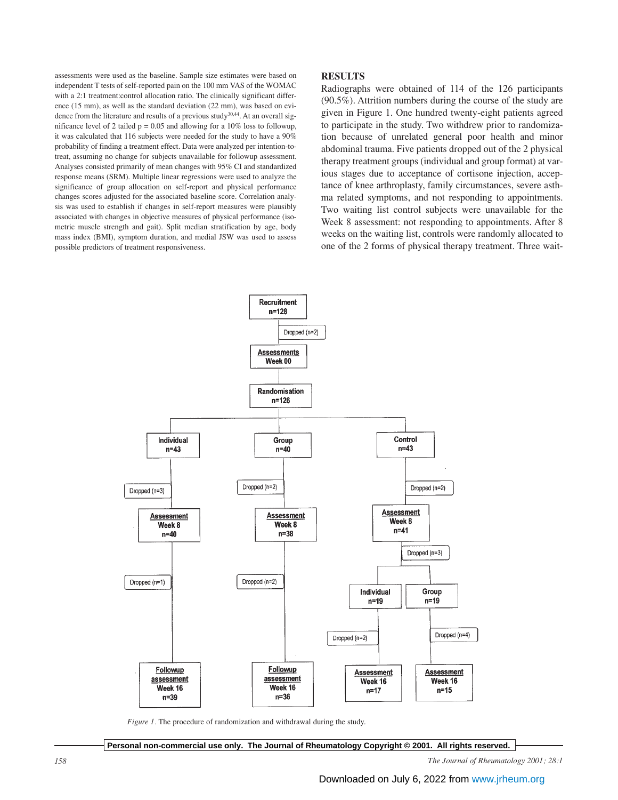assessments were used as the baseline. Sample size estimates were based on independent T tests of self-reported pain on the 100 mm VAS of the WOMAC with a 2:1 treatment:control allocation ratio. The clinically significant difference (15 mm), as well as the standard deviation (22 mm), was based on evidence from the literature and results of a previous study<sup>30,44</sup>. At an overall significance level of 2 tailed  $p = 0.05$  and allowing for a 10% loss to followup, it was calculated that 116 subjects were needed for the study to have a 90% probability of finding a treatment effect. Data were analyzed per intention-totreat, assuming no change for subjects unavailable for followup assessment. Analyses consisted primarily of mean changes with 95% CI and standardized response means (SRM). Multiple linear regressions were used to analyze the significance of group allocation on self-report and physical performance changes scores adjusted for the associated baseline score. Correlation analysis was used to establish if changes in self-report measures were plausibly associated with changes in objective measures of physical performance (isometric muscle strength and gait). Split median stratification by age, body mass index (BMI), symptom duration, and medial JSW was used to assess possible predictors of treatment responsiveness.

## **RESULTS**

Radiographs were obtained of 114 of the 126 participants (90.5%). Attrition numbers during the course of the study are given in Figure 1. One hundred twenty-eight patients agreed to participate in the study. Two withdrew prior to randomization because of unrelated general poor health and minor abdominal trauma. Five patients dropped out of the 2 physical therapy treatment groups (individual and group format) at various stages due to acceptance of cortisone injection, acceptance of knee arthroplasty, family circumstances, severe asthma related symptoms, and not responding to appointments. Two waiting list control subjects were unavailable for the Week 8 assessment: not responding to appointments. After 8 weeks on the waiting list, controls were randomly allocated to one of the 2 forms of physical therapy treatment. Three wait-



*Figure 1.* The procedure of randomization and withdrawal during the study.

**Personal non-commercial use only. The Journal of Rheumatology Copyright © 2001. All rights reserved.**

*158 The Journal of Rheumatology 2001; 28:1*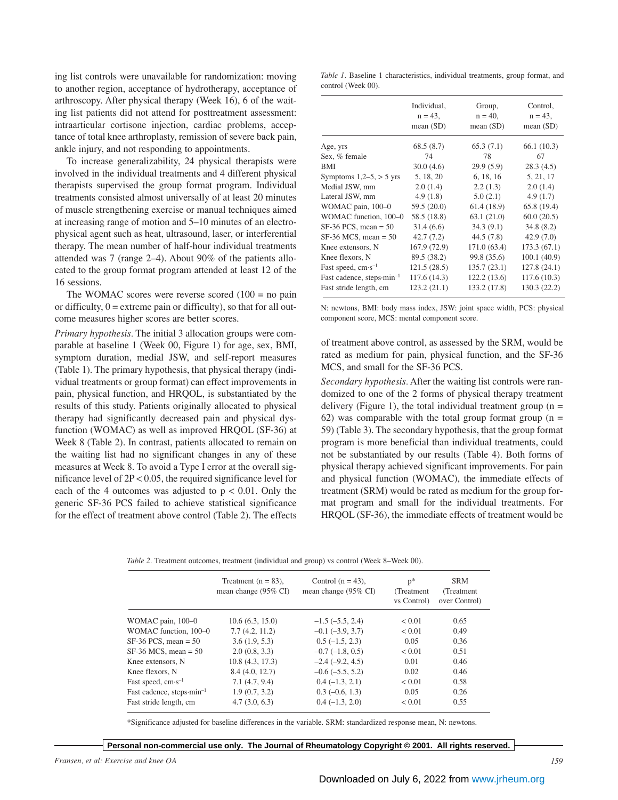ing list controls were unavailable for randomization: moving to another region, acceptance of hydrotherapy, acceptance of arthroscopy. After physical therapy (Week 16), 6 of the waiting list patients did not attend for posttreatment assessment: intraarticular cortisone injection, cardiac problems, acceptance of total knee arthroplasty, remission of severe back pain, ankle injury, and not responding to appointments.

To increase generalizability, 24 physical therapists were involved in the individual treatments and 4 different physical therapists supervised the group format program. Individual treatments consisted almost universally of at least 20 minutes of muscle strengthening exercise or manual techniques aimed at increasing range of motion and 5–10 minutes of an electrophysical agent such as heat, ultrasound, laser, or interferential therapy. The mean number of half-hour individual treatments attended was 7 (range 2–4). About 90% of the patients allocated to the group format program attended at least 12 of the 16 sessions.

The WOMAC scores were reverse scored  $(100 = no \text{ pain})$ or difficulty,  $0 =$  extreme pain or difficulty), so that for all outcome measures higher scores are better scores.

*Primary hypothesis.* The initial 3 allocation groups were comparable at baseline 1 (Week 00, Figure 1) for age, sex, BMI, symptom duration, medial JSW, and self-report measures (Table 1). The primary hypothesis, that physical therapy (individual treatments or group format) can effect improvements in pain, physical function, and HRQOL, is substantiated by the results of this study. Patients originally allocated to physical therapy had significantly decreased pain and physical dysfunction (WOMAC) as well as improved HRQOL (SF-36) at Week 8 (Table 2). In contrast, patients allocated to remain on the waiting list had no significant changes in any of these measures at Week 8. To avoid a Type I error at the overall significance level of 2P < 0.05, the required significance level for each of the 4 outcomes was adjusted to  $p < 0.01$ . Only the generic SF-36 PCS failed to achieve statistical significance for the effect of treatment above control (Table 2). The effects

*Table 1.* Baseline 1 characteristics, individual treatments, group format, and control (Week 00).

|                                               | Individual,<br>$n = 43$ ,<br>mean $(SD)$ | Group,<br>$n = 40$ ,<br>mean $(SD)$ | Control,<br>$n = 43$ ,<br>mean $(SD)$ |
|-----------------------------------------------|------------------------------------------|-------------------------------------|---------------------------------------|
| Age, yrs                                      | 68.5(8.7)                                | 65.3(7.1)                           | 66.1 (10.3)                           |
| Sex, % female                                 | 74                                       | 78                                  | 67                                    |
| BMI                                           | 30.0(4.6)                                | 29.9(5.9)                           | 28.3(4.5)                             |
| Symptoms $1,2-5, > 5$ yrs                     | 5, 18, 20                                | 6, 18, 16                           | 5, 21, 17                             |
| Medial JSW, mm                                | 2.0(1.4)                                 | 2.2(1.3)                            | 2.0(1.4)                              |
| Lateral JSW, mm                               | 4.9(1.8)                                 | 5.0(2.1)                            | 4.9(1.7)                              |
| WOMAC pain, 100-0                             | 59.5(20.0)                               | 61.4 (18.9)                         | 65.8 (19.4)                           |
| WOMAC function, 100-0                         | 58.5 (18.8)                              | 63.1(21.0)                          | 60.0(20.5)                            |
| $SF-36$ PCS, mean = 50                        | 31.4(6.6)                                | 34.3(9.1)                           | 34.8(8.2)                             |
| $SF-36$ MCS, mean = 50                        | 42.7(7.2)                                | 44.5(7.8)                           | 42.9 (7.0)                            |
| Knee extensors, N                             | 167.9 (72.9)                             | 171.0 (63.4)                        | 173.3(67.1)                           |
| Knee flexors, N                               | 89.5 (38.2)                              | 99.8 (35.6)                         | 100.1(40.9)                           |
| Fast speed, $cm·s^{-1}$                       | 121.5 (28.5)                             | 135.7 (23.1)                        | 127.8 (24.1)                          |
| Fast cadence, steps $\cdot$ min <sup>-1</sup> | 117.6 (14.3)                             | 122.2(13.6)                         | 117.6(10.3)                           |
| Fast stride length, cm                        | 123.2 (21.1)                             | 133.2 (17.8)                        | 130.3 (22.2)                          |

N: newtons, BMI: body mass index, JSW: joint space width, PCS: physical component score, MCS: mental component score.

of treatment above control, as assessed by the SRM, would be rated as medium for pain, physical function, and the SF-36 MCS, and small for the SF-36 PCS.

*Secondary hypothesis.* After the waiting list controls were randomized to one of the 2 forms of physical therapy treatment delivery (Figure 1), the total individual treatment group  $(n =$ 62) was comparable with the total group format group  $(n =$ 59) (Table 3). The secondary hypothesis, that the group format program is more beneficial than individual treatments, could not be substantiated by our results (Table 4). Both forms of physical therapy achieved significant improvements. For pain and physical function (WOMAC), the immediate effects of treatment (SRM) would be rated as medium for the group format program and small for the individual treatments. For HRQOL (SF-36), the immediate effects of treatment would be

| Table 2. Treatment outcomes, treatment (individual and group) vs control (Week 8–Week 00). |  |  |  |
|--------------------------------------------------------------------------------------------|--|--|--|
|--------------------------------------------------------------------------------------------|--|--|--|

|                                       | Treatment $(n = 83)$ ,<br>mean change $(95\% \text{ CI})$ | Control $(n = 43)$ ,<br>mean change $(95\% \text{ CI})$ | $p*$<br>(Treatment)<br>vs Control) | <b>SRM</b><br>(Treatment)<br>over Control) |
|---------------------------------------|-----------------------------------------------------------|---------------------------------------------------------|------------------------------------|--------------------------------------------|
| WOMAC pain, 100-0                     | 10.6(6.3, 15.0)                                           | $-1.5(-5.5, 2.4)$                                       | < 0.01                             | 0.65                                       |
| WOMAC function, 100-0                 | 7.7(4.2, 11.2)                                            | $-0.1$ $(-3.9, 3.7)$                                    | < 0.01                             | 0.49                                       |
| $SF-36$ PCS, mean = 50                | 3.6(1.9, 5.3)                                             | $0.5(-1.5, 2.3)$                                        | 0.05                               | 0.36                                       |
| $SF-36$ MCS, mean = 50                | 2.0(0.8, 3.3)                                             | $-0.7$ ( $-1.8$ , 0.5)                                  | < 0.01                             | 0.51                                       |
| Knee extensors, N                     | 10.8(4.3, 17.3)                                           | $-2.4(-9.2, 4.5)$                                       | 0.01                               | 0.46                                       |
| Knee flexors, N                       | 8.4 (4.0, 12.7)                                           | $-0.6(-5.5, 5.2)$                                       | 0.02                               | 0.46                                       |
| Fast speed, $cm·s^{-1}$               | 7.1(4.7, 9.4)                                             | $0.4(-1.3, 2.1)$                                        | < 0.01                             | 0.58                                       |
| Fast cadence, steps-min <sup>-1</sup> | 1.9(0.7, 3.2)                                             | $0.3(-0.6, 1.3)$                                        | 0.05                               | 0.26                                       |
| Fast stride length, cm                | 4.7(3.0, 6.3)                                             | $0.4(-1.3, 2.0)$                                        | < 0.01                             | 0.55                                       |

\*Significance adjusted for baseline differences in the variable. SRM: standardized response mean, N: newtons.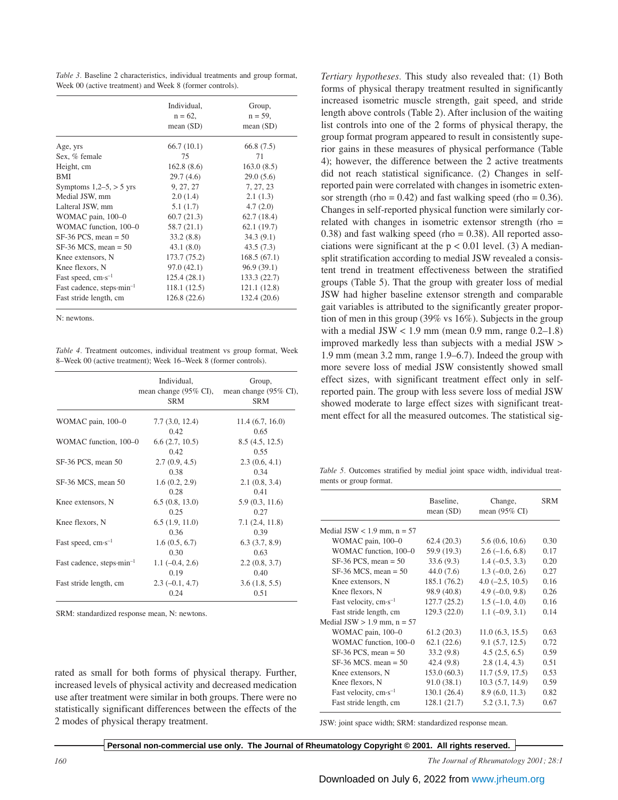*Table 3.* Baseline 2 characteristics, individual treatments and group format, Week 00 (active treatment) and Week 8 (former controls).

|                                               | Individual, | Group,       |
|-----------------------------------------------|-------------|--------------|
|                                               | $n = 62$ ,  | $n = 59$ ,   |
|                                               | mean $(SD)$ | mean $(SD)$  |
| Age, yrs                                      | 66.7(10.1)  | 66.8 (7.5)   |
| Sex, % female                                 | 75          | 71           |
| Height, cm                                    | 162.8(8.6)  | 163.0(8.5)   |
| <b>BMI</b>                                    | 29.7(4.6)   | 29.0(5.6)    |
| Symptoms $1,2-5, > 5$ yrs                     | 9, 27, 27   | 7, 27, 23    |
| Medial JSW, mm                                | 2.0(1.4)    | 2.1(1.3)     |
| Lalteral JSW, mm                              | 5.1(1.7)    | 4.7(2.0)     |
| WOMAC pain, 100-0                             | 60.7(21.3)  | 62.7(18.4)   |
| WOMAC function, 100-0                         | 58.7(21.1)  | 62.1(19.7)   |
| $SF-36$ PCS, mean = 50                        | 33.2(8.8)   | 34.3(9.1)    |
| $SF-36$ MCS, mean = 50                        | 43.1(8.0)   | 43.5(7.3)    |
| Knee extensors, N                             | 173.7(75.2) | 168.5(67.1)  |
| Knee flexors, N                               | 97.0(42.1)  | 96.9(39.1)   |
| Fast speed, $cm·s^{-1}$                       | 125.4(28.1) | 133.3 (22.7) |
| Fast cadence, steps $\cdot$ min <sup>-1</sup> | 118.1(12.5) | 121.1 (12.8) |
| Fast stride length, cm                        | 126.8(22.6) | 132.4 (20.6) |

N: newtons.

*Table 4.* Treatment outcomes, individual treatment vs group format, Week 8–Week 00 (active treatment); Week 16–Week 8 (former controls).

|                                       | Individual,<br><b>SRM</b> | Group,<br>mean change (95% CI), mean change (95% CI),<br><b>SRM</b> |
|---------------------------------------|---------------------------|---------------------------------------------------------------------|
| WOMAC pain, 100-0                     | 7.7(3.0, 12.4)            | 11.4(6.7, 16.0)                                                     |
|                                       | 0.42                      | 0.65                                                                |
| WOMAC function, 100–0                 | 6.6(2.7, 10.5)            | 8.5(4.5, 12.5)                                                      |
|                                       | 0.42                      | 0.55                                                                |
| SF-36 PCS, mean 50                    | 2.7(0.9, 4.5)             | 2.3(0.6, 4.1)                                                       |
|                                       | 0.38                      | 0.34                                                                |
| SF-36 MCS, mean 50                    | 1.6(0.2, 2.9)             | 2.1(0.8, 3.4)                                                       |
|                                       | 0.28                      | 0.41                                                                |
| Knee extensors, N                     | 6.5(0.8, 13.0)            | 5.9(0.3, 11.6)                                                      |
|                                       | 0.25                      | 0.27                                                                |
| Knee flexors, N                       | 6.5(1.9, 11.0)            | 7.1(2.4, 11.8)                                                      |
|                                       | 0.36                      | 0.39                                                                |
| Fast speed, $cm·s^{-1}$               | 1.6(0.5, 6.7)             | 6.3(3.7, 8.9)                                                       |
|                                       | 0.30                      | 0.63                                                                |
| Fast cadence, steps min <sup>-1</sup> | $1.1(-0.4, 2.6)$          | 2.2(0.8, 3.7)                                                       |
|                                       | 0.19                      | 0.40                                                                |
| Fast stride length, cm                | $2.3(-0.1, 4.7)$          | 3.6(1.8, 5.5)                                                       |
|                                       | 0.24                      | 0.51                                                                |

SRM: standardized response mean, N: newtons.

rated as small for both forms of physical therapy. Further, increased levels of physical activity and decreased medication use after treatment were similar in both groups. There were no statistically significant differences between the effects of the 2 modes of physical therapy treatment.

*Tertiary hypotheses.* This study also revealed that: (1) Both forms of physical therapy treatment resulted in significantly increased isometric muscle strength, gait speed, and stride length above controls (Table 2). After inclusion of the waiting list controls into one of the 2 forms of physical therapy, the group format program appeared to result in consistently superior gains in these measures of physical performance (Table 4); however, the difference between the 2 active treatments did not reach statistical significance. (2) Changes in selfreported pain were correlated with changes in isometric extensor strength (rho =  $0.42$ ) and fast walking speed (rho =  $0.36$ ). Changes in self-reported physical function were similarly correlated with changes in isometric extensor strength (rho =  $0.38$ ) and fast walking speed (rho =  $0.38$ ). All reported associations were significant at the  $p < 0.01$  level. (3) A mediansplit stratification according to medial JSW revealed a consistent trend in treatment effectiveness between the stratified groups (Table 5). That the group with greater loss of medial JSW had higher baseline extensor strength and comparable gait variables is attributed to the significantly greater proportion of men in this group (39% vs 16%). Subjects in the group with a medial JSW  $< 1.9$  mm (mean 0.9 mm, range 0.2–1.8) improved markedly less than subjects with a medial JSW > 1.9 mm (mean 3.2 mm, range 1.9–6.7). Indeed the group with more severe loss of medial JSW consistently showed small effect sizes, with significant treatment effect only in selfreported pain. The group with less severe loss of medial JSW showed moderate to large effect sizes with significant treatment effect for all the measured outcomes. The statistical sig-

*Table 5.* Outcomes stratified by medial joint space width, individual treatments or group format.

|                               | Baseline,<br>mean $(SD)$ | Change,<br>mean $(95\% \text{ CI})$ | <b>SRM</b> |
|-------------------------------|--------------------------|-------------------------------------|------------|
| Medial JSW $<$ 1.9 mm, n = 57 |                          |                                     |            |
| WOMAC pain, 100-0             | 62.4(20.3)               | 5.6(0.6, 10.6)                      | 0.30       |
| WOMAC function, 100-0         | 59.9 (19.3)              | $2.6(-1.6, 6.8)$                    | 0.17       |
| $SF-36$ PCS, mean = 50        | 33.6(9.3)                | $1.4(-0.5, 3.3)$                    | 0.20       |
| $SF-36$ MCS, mean = 50        | 44.0 (7.6)               | $1.3(-0.0, 2.6)$                    | 0.27       |
| Knee extensors, N             | 185.1 (76.2)             | $4.0(-2.5, 10.5)$                   | 0.16       |
| Knee flexors, N               | 98.9 (40.8)              | $4.9(-0.0, 9.8)$                    | 0.26       |
| Fast velocity, $cm·s^{-1}$    | 127.7(25.2)              | $1.5(-1.0, 4.0)$                    | 0.16       |
| Fast stride length, cm        | 129.3 (22.0)             | $1.1(-0.9, 3.1)$                    | 0.14       |
| Medial JSW $> 1.9$ mm, n = 57 |                          |                                     |            |
| WOMAC pain, 100-0             | 61.2(20.3)               | 11.0(6.3, 15.5)                     | 0.63       |
| WOMAC function, 100-0         | 62.1(22.6)               | 9.1(5.7, 12.5)                      | 0.72       |
| $SF-36$ PCS, mean = 50        | 33.2(9.8)                | 4.5(2.5, 6.5)                       | 0.59       |
| $SF-36$ MCS, mean = 50        | 42.4 (9.8)               | 2.8(1.4, 4.3)                       | 0.51       |
| Knee extensors, N             | 153.0 (60.3)             | 11.7(5.9, 17.5)                     | 0.53       |
| Knee flexors, N               | 91.0(38.1)               | 10.3(5.7, 14.9)                     | 0.59       |
| Fast velocity, $cm·s^{-1}$    | 130.1(26.4)              | 8.9(6.0, 11.3)                      | 0.82       |
| Fast stride length, cm        | 128.1 (21.7)             | 5.2(3.1, 7.3)                       | 0.67       |

JSW: joint space width; SRM: standardized response mean.

**Personal non-commercial use only. The Journal of Rheumatology Copyright © 2001. All rights reserved.**

*160 The Journal of Rheumatology 2001; 28:1*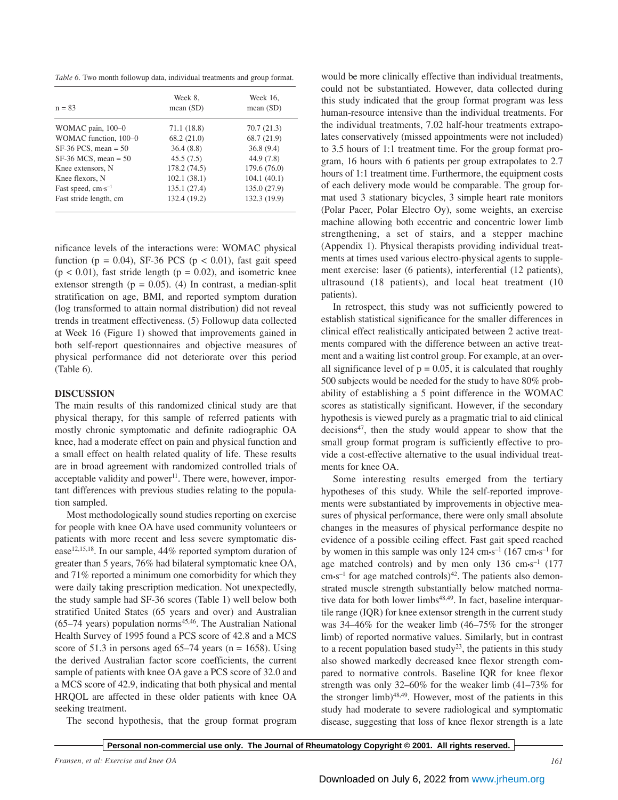*Table 6.* Two month followup data, individual treatments and group format.

| $n = 83$                | Week 8.<br>mean $(SD)$ | Week 16,<br>mean $(SD)$ |
|-------------------------|------------------------|-------------------------|
| WOMAC pain, 100-0       | 71.1 (18.8)            | 70.7(21.3)              |
| WOMAC function, 100-0   | 68.2(21.0)             | 68.7 (21.9)             |
| $SF-36$ PCS, mean = 50  | 36.4(8.8)              | 36.8(9.4)               |
| $SF-36$ MCS, mean = 50  | 45.5(7.5)              | 44.9 (7.8)              |
| Knee extensors, N       | 178.2(74.5)            | 179.6(76.0)             |
| Knee flexors, N         | 102.1(38.1)            | 104.1(40.1)             |
| Fast speed, $cm·s^{-1}$ | 135.1(27.4)            | 135.0(27.9)             |
| Fast stride length, cm  | 132.4 (19.2)           | 132.3 (19.9)            |

nificance levels of the interactions were: WOMAC physical function ( $p = 0.04$ ), SF-36 PCS ( $p < 0.01$ ), fast gait speed  $(p < 0.01)$ , fast stride length  $(p = 0.02)$ , and isometric knee extensor strength ( $p = 0.05$ ). (4) In contrast, a median-split stratification on age, BMI, and reported symptom duration (log transformed to attain normal distribution) did not reveal trends in treatment effectiveness. (5) Followup data collected at Week 16 (Figure 1) showed that improvements gained in both self-report questionnaires and objective measures of physical performance did not deteriorate over this period (Table 6).

# **DISCUSSION**

The main results of this randomized clinical study are that physical therapy, for this sample of referred patients with mostly chronic symptomatic and definite radiographic OA knee, had a moderate effect on pain and physical function and a small effect on health related quality of life. These results are in broad agreement with randomized controlled trials of acceptable validity and power<sup>11</sup>. There were, however, important differences with previous studies relating to the population sampled.

Most methodologically sound studies reporting on exercise for people with knee OA have used community volunteers or patients with more recent and less severe symptomatic disease<sup>12,15,18</sup>. In our sample, 44% reported symptom duration of greater than 5 years, 76% had bilateral symptomatic knee OA, and 71% reported a minimum one comorbidity for which they were daily taking prescription medication. Not unexpectedly, the study sample had SF-36 scores (Table 1) well below both stratified United States (65 years and over) and Australian  $(65-74 \text{ years})$  population norms<sup>45,46</sup>. The Australian National Health Survey of 1995 found a PCS score of 42.8 and a MCS score of 51.3 in persons aged  $65-74$  years (n = 1658). Using the derived Australian factor score coefficients, the current sample of patients with knee OA gave a PCS score of 32.0 and a MCS score of 42.9, indicating that both physical and mental HRQOL are affected in these older patients with knee OA seeking treatment.

The second hypothesis, that the group format program

would be more clinically effective than individual treatments, could not be substantiated. However, data collected during this study indicated that the group format program was less human-resource intensive than the individual treatments. For the individual treatments, 7.02 half-hour treatments extrapolates conservatively (missed appointments were not included) to 3.5 hours of 1:1 treatment time. For the group format program, 16 hours with 6 patients per group extrapolates to 2.7 hours of 1:1 treatment time. Furthermore, the equipment costs of each delivery mode would be comparable. The group format used 3 stationary bicycles, 3 simple heart rate monitors (Polar Pacer, Polar Electro Oy), some weights, an exercise machine allowing both eccentric and concentric lower limb strengthening, a set of stairs, and a stepper machine (Appendix 1). Physical therapists providing individual treatments at times used various electro-physical agents to supplement exercise: laser (6 patients), interferential (12 patients), ultrasound (18 patients), and local heat treatment (10 patients).

In retrospect, this study was not sufficiently powered to establish statistical significance for the smaller differences in clinical effect realistically anticipated between 2 active treatments compared with the difference between an active treatment and a waiting list control group. For example, at an overall significance level of  $p = 0.05$ , it is calculated that roughly 500 subjects would be needed for the study to have 80% probability of establishing a 5 point difference in the WOMAC scores as statistically significant. However, if the secondary hypothesis is viewed purely as a pragmatic trial to aid clinical  $decisions<sup>47</sup>$ , then the study would appear to show that the small group format program is sufficiently effective to provide a cost-effective alternative to the usual individual treatments for knee OA.

Some interesting results emerged from the tertiary hypotheses of this study. While the self-reported improvements were substantiated by improvements in objective measures of physical performance, there were only small absolute changes in the measures of physical performance despite no evidence of a possible ceiling effect. Fast gait speed reached by women in this sample was only 124 cm·s<sup>-1</sup> (167 cm·s<sup>-1</sup> for age matched controls) and by men only  $136 \text{ cm} \cdot \text{s}^{-1}$  (177  $cm·s<sup>-1</sup>$  for age matched controls)<sup>42</sup>. The patients also demonstrated muscle strength substantially below matched normative data for both lower limbs<sup>48,49</sup>. In fact, baseline interquartile range (IQR) for knee extensor strength in the current study was 34–46% for the weaker limb (46–75% for the stronger limb) of reported normative values. Similarly, but in contrast to a recent population based study<sup>23</sup>, the patients in this study also showed markedly decreased knee flexor strength compared to normative controls. Baseline IQR for knee flexor strength was only 32–60% for the weaker limb (41–73% for the stronger limb) $48,49$ . However, most of the patients in this study had moderate to severe radiological and symptomatic disease, suggesting that loss of knee flexor strength is a late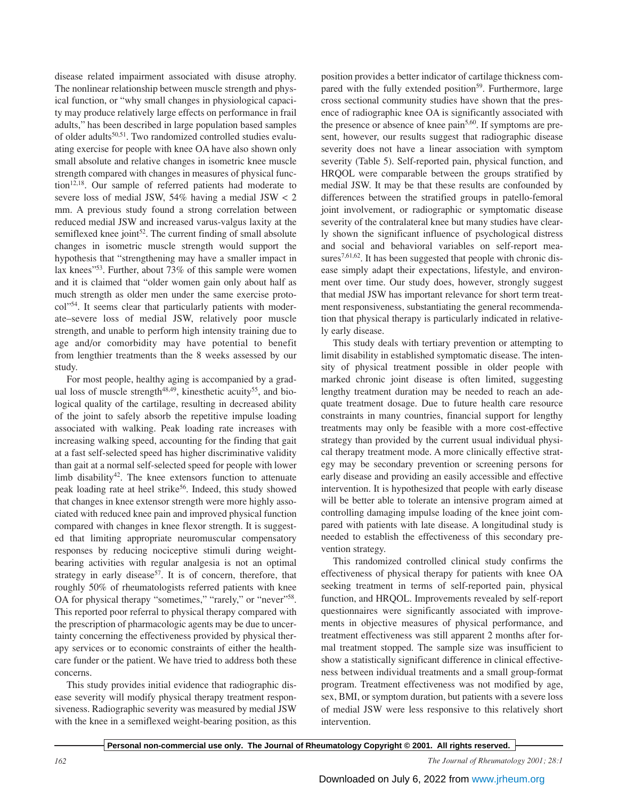disease related impairment associated with disuse atrophy. The nonlinear relationship between muscle strength and physical function, or "why small changes in physiological capacity may produce relatively large effects on performance in frail adults," has been described in large population based samples of older adults<sup>50,51</sup>. Two randomized controlled studies evaluating exercise for people with knee OA have also shown only small absolute and relative changes in isometric knee muscle strength compared with changes in measures of physical function<sup>12,18</sup>. Our sample of referred patients had moderate to severe loss of medial JSW, 54% having a medial JSW < 2 mm. A previous study found a strong correlation between reduced medial JSW and increased varus-valgus laxity at the semiflexed knee joint $52$ . The current finding of small absolute changes in isometric muscle strength would support the hypothesis that "strengthening may have a smaller impact in lax knees"53. Further, about 73% of this sample were women and it is claimed that "older women gain only about half as much strength as older men under the same exercise protocol"54. It seems clear that particularly patients with moderate–severe loss of medial JSW, relatively poor muscle strength, and unable to perform high intensity training due to age and/or comorbidity may have potential to benefit from lengthier treatments than the 8 weeks assessed by our study.

For most people, healthy aging is accompanied by a gradual loss of muscle strength<sup>48,49</sup>, kinesthetic acuity<sup>55</sup>, and biological quality of the cartilage, resulting in decreased ability of the joint to safely absorb the repetitive impulse loading associated with walking. Peak loading rate increases with increasing walking speed, accounting for the finding that gait at a fast self-selected speed has higher discriminative validity than gait at a normal self-selected speed for people with lower limb disability<sup>42</sup>. The knee extensors function to attenuate peak loading rate at heel strike<sup>56</sup>. Indeed, this study showed that changes in knee extensor strength were more highly associated with reduced knee pain and improved physical function compared with changes in knee flexor strength. It is suggested that limiting appropriate neuromuscular compensatory responses by reducing nociceptive stimuli during weightbearing activities with regular analgesia is not an optimal strategy in early disease<sup>57</sup>. It is of concern, therefore, that roughly 50% of rheumatologists referred patients with knee OA for physical therapy "sometimes," "rarely," or "never"<sup>58</sup>. This reported poor referral to physical therapy compared with the prescription of pharmacologic agents may be due to uncertainty concerning the effectiveness provided by physical therapy services or to economic constraints of either the healthcare funder or the patient. We have tried to address both these concerns.

This study provides initial evidence that radiographic disease severity will modify physical therapy treatment responsiveness. Radiographic severity was measured by medial JSW with the knee in a semiflexed weight-bearing position, as this position provides a better indicator of cartilage thickness compared with the fully extended position<sup>59</sup>. Furthermore, large cross sectional community studies have shown that the presence of radiographic knee OA is significantly associated with the presence or absence of knee pain<sup>5,60</sup>. If symptoms are present, however, our results suggest that radiographic disease severity does not have a linear association with symptom severity (Table 5). Self-reported pain, physical function, and HRQOL were comparable between the groups stratified by medial JSW. It may be that these results are confounded by differences between the stratified groups in patello-femoral joint involvement, or radiographic or symptomatic disease severity of the contralateral knee but many studies have clearly shown the significant influence of psychological distress and social and behavioral variables on self-report measures<sup>7,61,62</sup>. It has been suggested that people with chronic disease simply adapt their expectations, lifestyle, and environment over time. Our study does, however, strongly suggest that medial JSW has important relevance for short term treatment responsiveness, substantiating the general recommendation that physical therapy is particularly indicated in relatively early disease.

This study deals with tertiary prevention or attempting to limit disability in established symptomatic disease. The intensity of physical treatment possible in older people with marked chronic joint disease is often limited, suggesting lengthy treatment duration may be needed to reach an adequate treatment dosage. Due to future health care resource constraints in many countries, financial support for lengthy treatments may only be feasible with a more cost-effective strategy than provided by the current usual individual physical therapy treatment mode. A more clinically effective strategy may be secondary prevention or screening persons for early disease and providing an easily accessible and effective intervention. It is hypothesized that people with early disease will be better able to tolerate an intensive program aimed at controlling damaging impulse loading of the knee joint compared with patients with late disease. A longitudinal study is needed to establish the effectiveness of this secondary prevention strategy.

This randomized controlled clinical study confirms the effectiveness of physical therapy for patients with knee OA seeking treatment in terms of self-reported pain, physical function, and HRQOL. Improvements revealed by self-report questionnaires were significantly associated with improvements in objective measures of physical performance, and treatment effectiveness was still apparent 2 months after formal treatment stopped. The sample size was insufficient to show a statistically significant difference in clinical effectiveness between individual treatments and a small group-format program. Treatment effectiveness was not modified by age, sex, BMI, or symptom duration, but patients with a severe loss of medial JSW were less responsive to this relatively short intervention.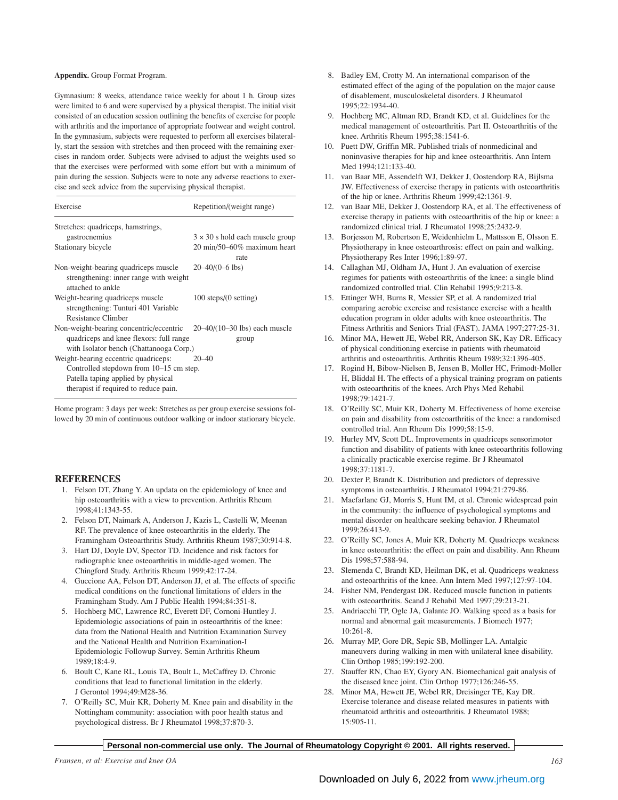#### **Appendix.** Group Format Program.

Gymnasium: 8 weeks, attendance twice weekly for about 1 h. Group sizes were limited to 6 and were supervised by a physical therapist. The initial visit consisted of an education session outlining the benefits of exercise for people with arthritis and the importance of appropriate footwear and weight control. In the gymnasium, subjects were requested to perform all exercises bilaterally, start the session with stretches and then proceed with the remaining exercises in random order. Subjects were advised to adjust the weights used so that the exercises were performed with some effort but with a minimum of pain during the session. Subjects were to note any adverse reactions to exercise and seek advice from the supervising physical therapist.

# Exercise Repetition/(weight range)

| Stretches: quadriceps, hamstrings,                                                                  |                                                  |
|-----------------------------------------------------------------------------------------------------|--------------------------------------------------|
| gastrocnemius                                                                                       | $3 \times 30$ s hold each muscle group           |
| Stationary bicycle                                                                                  | $20 \text{ min}/50 - 60\%$ maximum heart<br>rate |
| Non-weight-bearing quadriceps muscle<br>strengthening: inner range with weight<br>attached to ankle | $20-40/(0-6$ lbs)                                |
| Weight-bearing quadriceps muscle<br>strengthening: Tunturi 401 Variable<br>Resistance Climber       | $100$ steps/ $(0$ setting)                       |
| Non-weight-bearing concentric/eccentric                                                             | $20-40/(10-30)$ lbs) each muscle                 |
| quadriceps and knee flexors: full range                                                             | group                                            |
| with Isolator bench (Chattanooga Corp.)                                                             |                                                  |
| Weight-bearing eccentric quadriceps:                                                                | $20 - 40$                                        |
| Controlled stepdown from 10–15 cm step.                                                             |                                                  |
| Patella taping applied by physical                                                                  |                                                  |
| therapist if required to reduce pain.                                                               |                                                  |

Home program: 3 days per week: Stretches as per group exercise sessions followed by 20 min of continuous outdoor walking or indoor stationary bicycle.

# **REFERENCES**

- 1. Felson DT, Zhang Y. An updata on the epidemiology of knee and hip osteoarthritis with a view to prevention. Arthritis Rheum 1998;41:1343-55.
- 2. Felson DT, Naimark A, Anderson J, Kazis L, Castelli W, Meenan RF. The prevalence of knee osteoarthritis in the elderly. The Framingham Osteoarthritis Study. Arthritis Rheum 1987;30:914-8.
- 3. Hart DJ, Doyle DV, Spector TD. Incidence and risk factors for radiographic knee osteoarthritis in middle-aged women. The Chingford Study. Arthritis Rheum 1999;42:17-24.
- 4. Guccione AA, Felson DT, Anderson JJ, et al. The effects of specific medical conditions on the functional limitations of elders in the Framingham Study. Am J Public Health 1994;84:351-8.
- 5. Hochberg MC, Lawrence RC, Everett DF, Cornoni-Huntley J. Epidemiologic associations of pain in osteoarthritis of the knee: data from the National Health and Nutrition Examination Survey and the National Health and Nutrition Examination-I Epidemiologic Followup Survey. Semin Arthritis Rheum 1989;18:4-9.
- 6. Boult C, Kane RL, Louis TA, Boult L, McCaffrey D. Chronic conditions that lead to functional limitation in the elderly. J Gerontol 1994;49:M28-36.
- 7. O'Reilly SC, Muir KR, Doherty M. Knee pain and disability in the Nottingham community: association with poor health status and psychological distress. Br J Rheumatol 1998;37:870-3.
- 8. Badley EM, Crotty M. An international comparison of the estimated effect of the aging of the population on the major cause of disablement, musculoskeletal disorders. J Rheumatol 1995;22:1934-40.
- 9. Hochberg MC, Altman RD, Brandt KD, et al. Guidelines for the medical management of osteoarthritis. Part II. Osteoarthritis of the knee. Arthritis Rheum 1995;38:1541-6.
- 10. Puett DW, Griffin MR. Published trials of nonmedicinal and noninvasive therapies for hip and knee osteoarthritis. Ann Intern Med 1994·121·133-40.
- 11. van Baar ME, Assendelft WJ, Dekker J, Oostendorp RA, Bijlsma JW. Effectiveness of exercise therapy in patients with osteoarthritis of the hip or knee. Arthritis Rheum 1999;42:1361-9.
- 12. van Baar ME, Dekker J, Oostendorp RA, et al. The effectiveness of exercise therapy in patients with osteoarthritis of the hip or knee: a randomized clinical trial. J Rheumatol 1998;25:2432-9.
- 13. Borjesson M, Robertson E, Weidenhielm L, Mattsson E, Olsson E. Physiotherapy in knee osteoarthrosis: effect on pain and walking. Physiotherapy Res Inter 1996;1:89-97.
- 14. Callaghan MJ, Oldham JA, Hunt J. An evaluation of exercise regimes for patients with osteoarthritis of the knee: a single blind randomized controlled trial. Clin Rehabil 1995;9:213-8.
- 15. Ettinger WH, Burns R, Messier SP, et al. A randomized trial comparing aerobic exercise and resistance exercise with a health education program in older adults with knee osteoarthritis. The Fitness Arthritis and Seniors Trial (FAST). JAMA 1997;277:25-31.
- 16. Minor MA, Hewett JE, Webel RR, Anderson SK, Kay DR. Efficacy of physical conditioning exercise in patients with rheumatoid arthritis and osteoarthritis. Arthritis Rheum 1989;32:1396-405.
- 17. Rogind H, Bibow-Nielsen B, Jensen B, Moller HC, Frimodt-Moller H, Bliddal H. The effects of a physical training program on patients with osteoarthritis of the knees. Arch Phys Med Rehabil 1998;79:1421-7.
- 18. O'Reilly SC, Muir KR, Doherty M. Effectiveness of home exercise on pain and disability from osteoarthritis of the knee: a randomised controlled trial. Ann Rheum Dis 1999;58:15-9.
- 19. Hurley MV, Scott DL. Improvements in quadriceps sensorimotor function and disability of patients with knee osteoarthritis following a clinically practicable exercise regime. Br J Rheumatol 1998;37:1181-7.
- 20. Dexter P, Brandt K. Distribution and predictors of depressive symptoms in osteoarthritis. J Rheumatol 1994;21:279-86.
- 21. Macfarlane GJ, Morris S, Hunt IM, et al. Chronic widespread pain in the community: the influence of psychological symptoms and mental disorder on healthcare seeking behavior. J Rheumatol 1999;26:413-9.
- 22. O'Reilly SC, Jones A, Muir KR, Doherty M. Quadriceps weakness in knee osteoarthritis: the effect on pain and disability. Ann Rheum Dis 1998;57:588-94.
- 23. Slemenda C, Brandt KD, Heilman DK, et al. Quadriceps weakness and osteoarthritis of the knee. Ann Intern Med 1997;127:97-104.
- 24. Fisher NM, Pendergast DR. Reduced muscle function in patients with osteoarthritis. Scand J Rehabil Med 1997;29:213-21.
- 25. Andriacchi TP, Ogle JA, Galante JO. Walking speed as a basis for normal and abnormal gait measurements. J Biomech 1977; 10:261-8.
- 26. Murray MP, Gore DR, Sepic SB, Mollinger LA. Antalgic maneuvers during walking in men with unilateral knee disability. Clin Orthop 1985;199:192-200.
- 27. Stauffer RN, Chao EY, Gyory AN. Biomechanical gait analysis of the diseased knee joint. Clin Orthop 1977;126:246-55.
- 28. Minor MA, Hewett JE, Webel RR, Dreisinger TE, Kay DR. Exercise tolerance and disease related measures in patients with rheumatoid arthritis and osteoarthritis. J Rheumatol 1988; 15:905-11.